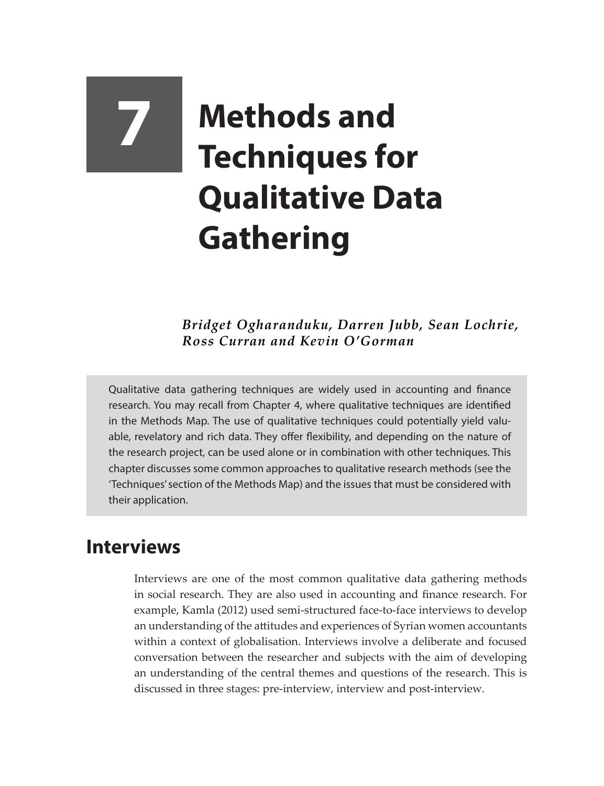# **7 Methods and Techniques for Qualitative Data Gathering**

*Bridget Ogharanduku, Darren Jubb, Sean Lochrie, Ross Curran and Kevin O'Gorman*

Qualitative data gathering techniques are widely used in accounting and finance research. You may recall from Chapter 4, where qualitative techniques are identified in the Methods Map. The use of qualitative techniques could potentially yield valuable, revelatory and rich data. They offer flexibility, and depending on the nature of the research project, can be used alone or in combination with other techniques. This chapter discusses some common approaches to qualitative research methods (see the 'Techniques' section of the Methods Map) and the issues that must be considered with their application.

## **Interviews**

Interviews are one of the most common qualitative data gathering methods in social research. They are also used in accounting and finance research. For example, Kamla (2012) used semi-structured face-to-face interviews to develop an understanding of the attitudes and experiences of Syrian women accountants within a context of globalisation. Interviews involve a deliberate and focused conversation between the researcher and subjects with the aim of developing an understanding of the central themes and questions of the research. This is discussed in three stages: pre-interview, interview and post-interview.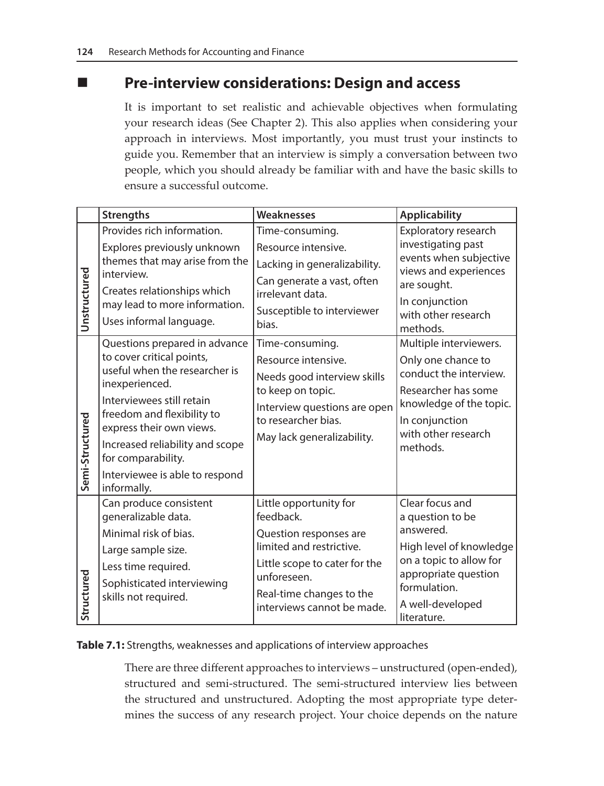## **Pre-interview considerations: Design and access**

It is important to set realistic and achievable objectives when formulating your research ideas (See Chapter 2). This also applies when considering your approach in interviews. Most importantly, you must trust your instincts to guide you. Remember that an interview is simply a conversation between two people, which you should already be familiar with and have the basic skills to ensure a successful outcome.

|                 | <b>Strengths</b>                                        | <b>Weaknesses</b>                                      | <b>Applicability</b>                            |
|-----------------|---------------------------------------------------------|--------------------------------------------------------|-------------------------------------------------|
| Unstructured    | Provides rich information.                              | Time-consuming.                                        | Exploratory research                            |
|                 | Explores previously unknown                             | Resource intensive.                                    | investigating past                              |
|                 | themes that may arise from the<br>interview.            | Lacking in generalizability.                           | events when subjective<br>views and experiences |
|                 | Creates relationships which                             | Can generate a vast, often                             | are sought.                                     |
|                 | may lead to more information.                           | irrelevant data.                                       | In conjunction                                  |
|                 | Uses informal language.                                 | Susceptible to interviewer<br>bias.                    | with other research                             |
|                 | Questions prepared in advance                           | Time-consuming.                                        | methods.<br>Multiple interviewers.              |
| Semi-Structured | to cover critical points,                               | Resource intensive.                                    | Only one chance to                              |
|                 | useful when the researcher is                           | Needs good interview skills                            | conduct the interview.                          |
|                 | inexperienced.                                          | to keep on topic.                                      | Researcher has some                             |
|                 | Interviewees still retain<br>freedom and flexibility to | Interview questions are open                           | knowledge of the topic.                         |
|                 | express their own views.                                | to researcher bias.                                    | In conjunction                                  |
|                 | Increased reliability and scope                         | May lack generalizability.                             | with other research<br>methods.                 |
|                 | for comparability.                                      |                                                        |                                                 |
|                 | Interviewee is able to respond                          |                                                        |                                                 |
|                 | informally.                                             |                                                        | Clear focus and                                 |
| Structured      | Can produce consistent<br>generalizable data.           | Little opportunity for<br>feedback.                    | a question to be                                |
|                 | Minimal risk of bias.                                   | Question responses are                                 | answered.                                       |
|                 | Large sample size.                                      | limited and restrictive.                               | High level of knowledge                         |
|                 | Less time required.                                     | Little scope to cater for the                          | on a topic to allow for                         |
|                 | Sophisticated interviewing                              | unforeseen.                                            | appropriate question<br>formulation.            |
|                 | skills not required.                                    | Real-time changes to the<br>interviews cannot be made. | A well-developed                                |
|                 |                                                         |                                                        | literature.                                     |

#### **Table 7.1:** Strengths, weaknesses and applications of interview approaches

There are three different approaches to interviews – unstructured (open-ended), structured and semi-structured. The semi-structured interview lies between the structured and unstructured. Adopting the most appropriate type determines the success of any research project. Your choice depends on the nature